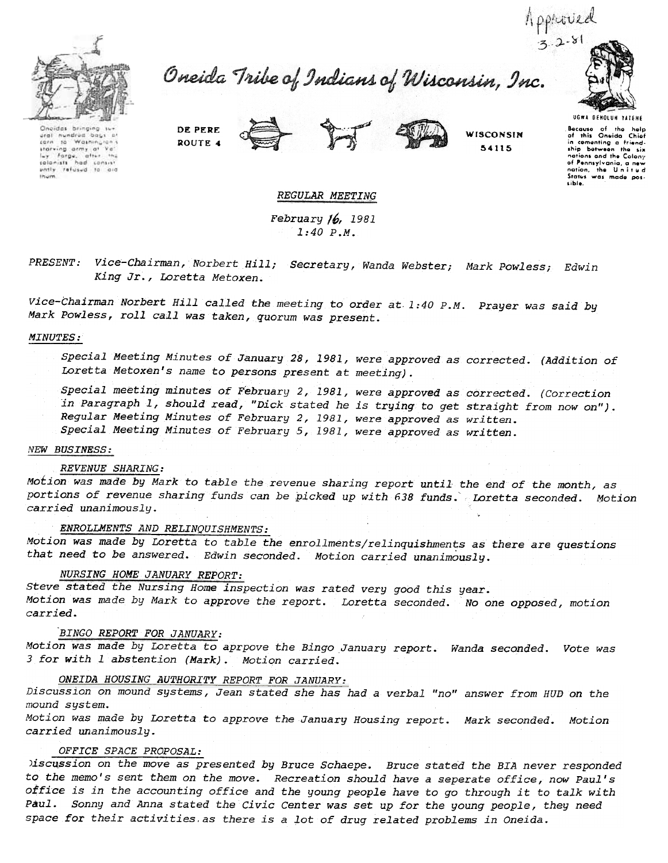

Oneida Tribe of Indians of Wisconsin, Inc.



UGWA DEKOlUK 'A'EKE

Choidas bringing sur<br>ural nundrod bags bi<br>carn to Washington's cern to Washingh<br>starving army at<br>luy forge, after  $V_{B}$ Ly farge, after the Ihum

DE PERE ROUTE 4



**WISCONSIN** ~4115

Because of the help<br>of this Oneida Chief in cementing a friend<br>ship between the si notions ond Ihe Colony of Pennsylvania, a new<br>nation, the United<br>Status was mode pos-.ible.

## REGULAR MEETING

February /6, 1981 1:40 P.M.

Vice-Chairman, Norbert Hill; Secretary, Wanda Webster; Mark Powless; Edwin King Jr., Loretta Metoxen.

Vice-Chairman Norbert Hill called the meeting to orner at. 1:40 P.M. . Prayer was said by Mark Powless, roll call was taken, quorum was present.

### MINUTES:

special Meeting Minutes of January 28,1981, were approved as corrected. (Addition of Loretta Metoxen's name to persons present at meeting).

Special meeting minutes of February 2, 2981, were approved as corrected. (Correction in Paragraph 1, should read, "Dick stated he is trying to get straight from now on"). Regular Meeting Minutes of February 2,1981, were approved as written. Special Meeting Minutes of February 5, 2981, were approved as written.

## NEW BUSINESS:

### REVENUE SHARING:

Motion was made by Mark to table the revenue sharing report until the end of the month, as portions of revenue sharing funds can be picked up with 638 funds. Loretta seconded. Motion carried unanimously.

# ENROLLMENTS AND RELINQUISHMENTS:

Motion was made by Loretta to table the enrollments/relinquishments as there are questions that need to be answered. Edwin seconded. Motion carried unanimously.

# NURSING HOME JANUARY REPORT:

steve stated the Nursing Home inspection was rated very good this year. Motion was made by Mark to approve the report. Loretta seconded. No one opposed, motion carried.

## BINGO REPORT FOR JANUARY:

Motion was made by Loretta to aprpove the Bingo January report. Wanda seconded. Vote was 3 for with 1 abstention (Mark). Motion carried.

# ONEIDA HOUSING AUTHORITY REPORT FOR JANUARY:

Discussion on mound systems, Jean stated she has had a verbal "no" answer from HUD on the mound system.

Motion was made by Loretta to approve the January Housing report. Mark seconded. Motion carried unanimously.

### OFFICE SPACE PROPOSAL:

)iscussion on the move as presented by Bruce Schaepe. Bruce stated the BIA never responded to the memo's sent them on the move. Recreation should have a seperate office, now Paul's office is in the accounting office and the young people have to go through it to talk with Paul. Sonny and Anna stated the Civic Center was set up for the young people, they need space for their activities. as there is a lot of drug related problems in Oneida.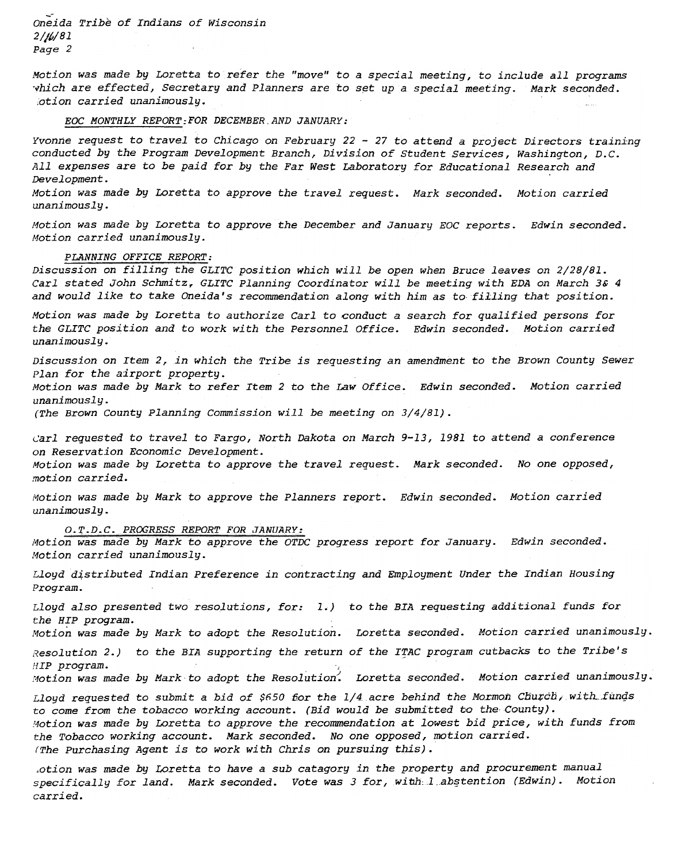Oneida Tribe of Indians of Wisconsin 2/j/J/81 Page 2

Motion was made by Loretta to refer the "move" to a special meeting, to include all programs vhich are effected, Secretary and Planners are to set up a special meeting. Mark seconded. ;otion carried unanimously. .

# EOC MONTHLY REPORT:FOR DECEMBER. AND JANUARY:

Yvonne request to travel to Chicago on February 22 - 27 to attend a project Directors training conducted by the Program Development Branch, Division of Student Services, Washington, D.C. All expenses are to be paid for by the Far West Laboratory for Educational Research and Development.

Motion was made by LOretta to approve the travel request. Mark seconded. Motion carried unanimously.

Motion was made by Loretta to approve the December and January EOC reports. Edwin seconded. Motion carried unanimously.

#### PLANNING OFFICE REPORT:

Discussion on filling the GLITC position which will be open when Bruce leaves on 2/28/81. Carl stated John Schmitz, GLITC Planning Coordinator will be meeting with EDA on March 3& 4 and would like to take Oneida's recommendation along with him as to filling that position.

Motion was made by Loretta to authorize Carl to conduct a search for qualified persons for the GLITC position and to work with the Personnel Office. Edwin seconded. Motion carried unanimously.

Discussion on Item 2, in which the Tribe is requesting an amendment to the Brown County Sewer Plan for the airport property. Motion was made by Mark to refer Item 2 to the Law Office. Edwin seconded. Motion carried

unanimously.

(The Brown County Planning Commission will be meeting on 3/4/81).

~arl requested to travel to Fargo, North Dakota on March 9-13, 1981 to attend a conference on Reservation Economic Development.

Motion was made by Loretta to approve the travel request. Mark seconded. No one opposed, .'notion carried.

Motion was made by Mark to approve the Planners report. Edwin seconded. Motion carried unanimously.

O.T.D.C. PROGRESS REPORT FOR JANUARY:

Motion was made by Mark to approve the OTDC progress report for January. Edwin seconded. Motion carried unanimously.

Lloyd distributed Indian Preference in contracting and Employment Under the Indian Housing Program.

Lloyd also presented two resolutions, for:  $1.)$  to the BIA requesting additional funds for the HIP program.

Motion was made by Mark to adopt the Resolution. Loretta seconded. Motion carried unanimously.

 $Resolution 2.)$  to the BIA supporting the return of the ITAC program cutbacks to the Tribe's HIP program.

Motion was made by Mark to adopt the Resolution. Loretta seconded. Motion carried unanimously.

Lloyd requested to submit a bid of \$650 for the 1/4 acre behind the Mormon Church, with funds to come from the tobacco working account. (Bid would be submitted to the County). Motion was made by Loretta to approve the recommendation at lowest bid price, with funds from the Tobacco working account. Mark seconded. No one opposed, motion carried. (The purchasing Agent is to work with Chris on pursuing this).

,otion was made by Loretta to have a sub catagory in the property and procurement manual specifically for land. Mark seconded. Vote was 3 for, witlh:1\_ab§tention (Edwin). Motion carried.